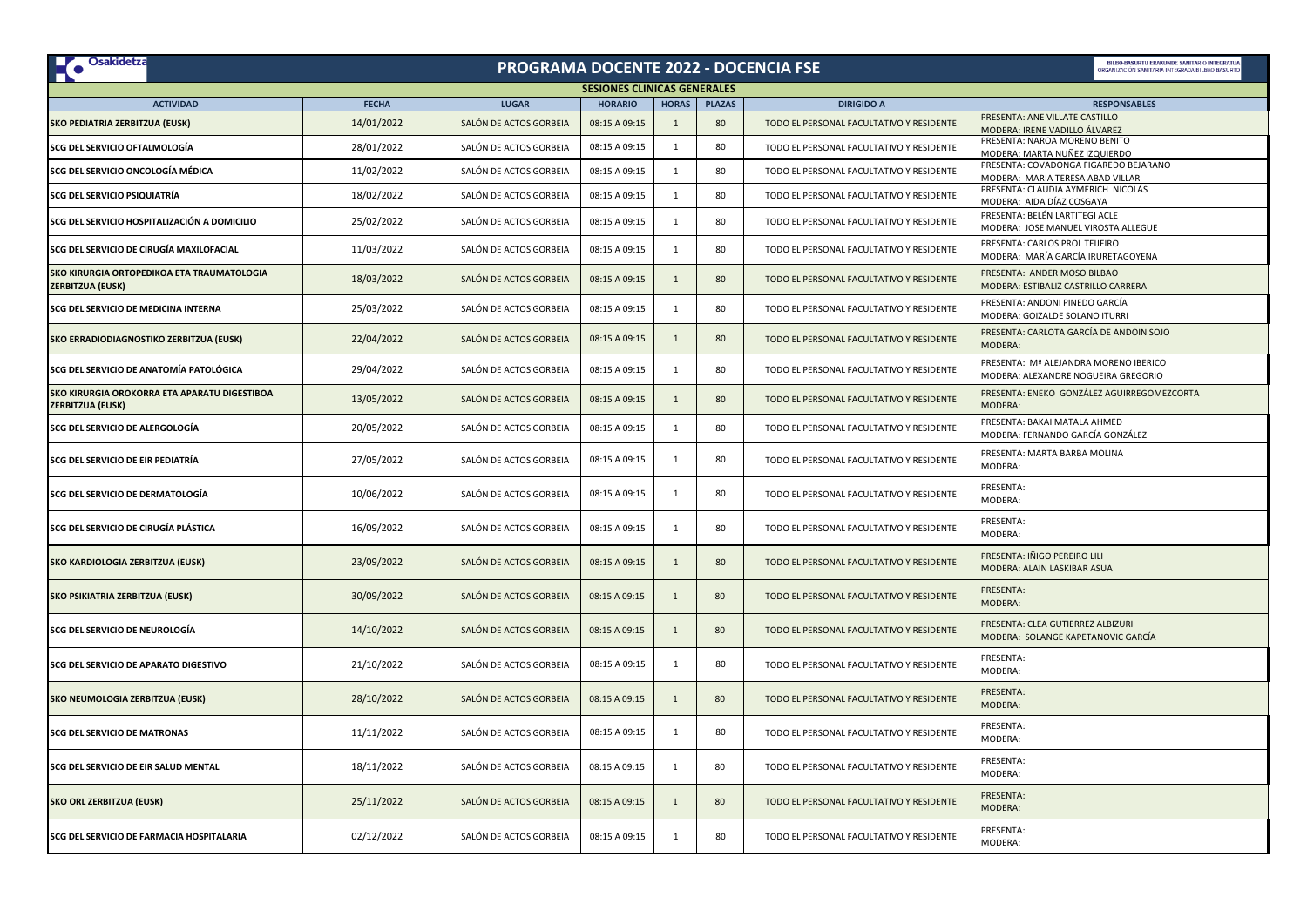| <b>De Osakidetza</b>                                                    |              | PROGRAMA DOCENTE 2022 - DOCENCIA FSE |                |                |               |                                          | BILBO-BASURTU FRAKUNDE SANITARIO INTEGRATU<br><b>(GANIZACIÓN SANITARIA INTEGRADA BILBAO-BASURT</b> |  |  |  |  |  |
|-------------------------------------------------------------------------|--------------|--------------------------------------|----------------|----------------|---------------|------------------------------------------|----------------------------------------------------------------------------------------------------|--|--|--|--|--|
| <b>SESIONES CLINICAS GENERALES</b>                                      |              |                                      |                |                |               |                                          |                                                                                                    |  |  |  |  |  |
| <b>ACTIVIDAD</b>                                                        | <b>FECHA</b> | <b>LUGAR</b>                         | <b>HORARIO</b> | <b>HORAS</b>   | <b>PLAZAS</b> | <b>DIRIGIDO A</b>                        | <b>RESPONSABLES</b>                                                                                |  |  |  |  |  |
| SKO PEDIATRIA ZERBITZUA (EUSK)                                          | 14/01/2022   | SALÓN DE ACTOS GORBEIA               | 08:15 A 09:15  | $\overline{1}$ | 80            | TODO EL PERSONAL FACULTATIVO Y RESIDENTE | PRESENTA: ANE VILLATE CASTILLO<br>MODERA: IRENE VADILLO ÁLVAREZ                                    |  |  |  |  |  |
| SCG DEL SERVICIO OFTALMOLOGÍA                                           | 28/01/2022   | SALÓN DE ACTOS GORBEIA               | 08:15 A 09:15  | $\mathbf{1}$   | 80            | TODO EL PERSONAL FACULTATIVO Y RESIDENTE | PRESENTA: NAROA MORENO BENITO<br>MODERA: MARTA NUÑEZ IZQUIERDO                                     |  |  |  |  |  |
| SCG DEL SERVICIO ONCOLOGÍA MÉDICA                                       | 11/02/2022   | SALÓN DE ACTOS GORBEIA               | 08:15 A 09:15  | $\mathbf{1}$   | 80            | TODO EL PERSONAL FACULTATIVO Y RESIDENTE | PRESENTA: COVADONGA FIGAREDO BEJARANO<br>MODERA: MARIA TERESA ABAD VILLAR                          |  |  |  |  |  |
| <b>SCG DEL SERVICIO PSIQUIATRÍA</b>                                     | 18/02/2022   | SALÓN DE ACTOS GORBEIA               | 08:15 A 09:15  | $\mathbf{1}$   | 80            | TODO EL PERSONAL FACULTATIVO Y RESIDENTE | PRESENTA: CLAUDIA AYMERICH NICOLÁS<br>MODERA: AIDA DÍAZ COSGAYA                                    |  |  |  |  |  |
| SCG DEL SERVICIO HOSPITALIZACIÓN A DOMICILIO                            | 25/02/2022   | SALÓN DE ACTOS GORBEIA               | 08:15 A 09:15  | $\overline{1}$ | 80            | TODO EL PERSONAL FACULTATIVO Y RESIDENTE | PRESENTA: BELÉN LARTITEGI ACLE<br>MODERA: JOSE MANUEL VIROSTA ALLEGUE                              |  |  |  |  |  |
| SCG DEL SERVICIO DE CIRUGÍA MAXILOFACIAL                                | 11/03/2022   | SALÓN DE ACTOS GORBEIA               | 08:15 A 09:15  | $\mathbf{1}$   | 80            | TODO EL PERSONAL FACULTATIVO Y RESIDENTE | PRESENTA: CARLOS PROL TEIJEIRO<br>MODERA: MARÍA GARCÍA IRURETAGOYENA                               |  |  |  |  |  |
| SKO KIRURGIA ORTOPEDIKOA ETA TRAUMATOLOGIA<br><b>ZERBITZUA (EUSK)</b>   | 18/03/2022   | SALÓN DE ACTOS GORBEIA               | 08:15 A 09:15  | $\mathbf{1}$   | 80            | TODO EL PERSONAL FACULTATIVO Y RESIDENTE | PRESENTA: ANDER MOSO BILBAO<br>MODERA: ESTIBALIZ CASTRILLO CARRERA                                 |  |  |  |  |  |
| SCG DEL SERVICIO DE MEDICINA INTERNA                                    | 25/03/2022   | SALÓN DE ACTOS GORBEIA               | 08:15 A 09:15  | $\mathbf{1}$   | 80            | TODO EL PERSONAL FACULTATIVO Y RESIDENTE | PRESENTA: ANDONI PINEDO GARCÍA<br>MODERA: GOIZALDE SOLANO ITURRI                                   |  |  |  |  |  |
| SKO ERRADIODIAGNOSTIKO ZERBITZUA (EUSK)                                 | 22/04/2022   | SALÓN DE ACTOS GORBEIA               | 08:15 A 09:15  |                | 80            | TODO EL PERSONAL FACULTATIVO Y RESIDENTE | PRESENTA: CARLOTA GARCÍA DE ANDOIN SOJO<br>MODERA:                                                 |  |  |  |  |  |
| SCG DEL SERVICIO DE ANATOMÍA PATOLÓGICA                                 | 29/04/2022   | SALÓN DE ACTOS GORBEIA               | 08:15 A 09:15  | 1              | 80            | TODO EL PERSONAL FACULTATIVO Y RESIDENTE | PRESENTA: Mª ALEJANDRA MORENO IBERICO<br>MODERA: ALEXANDRE NOGUEIRA GREGORIO                       |  |  |  |  |  |
| SKO KIRURGIA OROKORRA ETA APARATU DIGESTIBOA<br><b>ZERBITZUA (EUSK)</b> | 13/05/2022   | SALÓN DE ACTOS GORBEIA               | 08:15 A 09:15  | $\mathbf{1}$   | 80            | TODO EL PERSONAL FACULTATIVO Y RESIDENTE | PRESENTA: ENEKO GONZÁLEZ AGUIRREGOMEZCORTA<br>MODERA:                                              |  |  |  |  |  |
| SCG DEL SERVICIO DE ALERGOLOGÍA                                         | 20/05/2022   | SALÓN DE ACTOS GORBEIA               | 08:15 A 09:15  | $\mathbf{1}$   | 80            | TODO EL PERSONAL FACULTATIVO Y RESIDENTE | PRESENTA: BAKAI MATALA AHMED<br>MODERA: FERNANDO GARCÍA GONZÁLEZ                                   |  |  |  |  |  |
| SCG DEL SERVICIO DE EIR PEDIATRÍA                                       | 27/05/2022   | SALÓN DE ACTOS GORBEIA               | 08:15 A 09:15  | 1              | 80            | TODO EL PERSONAL FACULTATIVO Y RESIDENTE | PRESENTA: MARTA BARBA MOLINA<br>MODERA:                                                            |  |  |  |  |  |
| SCG DEL SERVICIO DE DERMATOLOGÍA                                        | 10/06/2022   | SALÓN DE ACTOS GORBEIA               | 08:15 A 09:15  | $\mathbf{1}$   | 80            | TODO EL PERSONAL FACULTATIVO Y RESIDENTE | PRESENTA:<br>MODERA:                                                                               |  |  |  |  |  |
| SCG DEL SERVICIO DE CIRUGÍA PLÁSTICA                                    | 16/09/2022   | SALÓN DE ACTOS GORBEIA               | 08:15 A 09:15  | $\mathbf{1}$   | 80            | TODO EL PERSONAL FACULTATIVO Y RESIDENTE | PRESENTA:<br>MODERA:                                                                               |  |  |  |  |  |
| SKO KARDIOLOGIA ZERBITZUA (EUSK)                                        | 23/09/2022   | SALÓN DE ACTOS GORBEIA               | 08:15 A 09:15  | $\mathbf{1}$   | 80            | TODO EL PERSONAL FACULTATIVO Y RESIDENTE | PRESENTA: IÑIGO PEREIRO LILI<br>MODERA: ALAIN LASKIBAR ASUA                                        |  |  |  |  |  |
| SKO PSIKIATRIA ZERBITZUA (EUSK)                                         | 30/09/2022   | SALÓN DE ACTOS GORBEIA               | 08:15 A 09:15  | $\overline{1}$ | 80            | TODO EL PERSONAL FACULTATIVO Y RESIDENTE | <b>PRESENTA:</b><br>MODERA:                                                                        |  |  |  |  |  |
| SCG DEL SERVICIO DE NEUROLOGÍA                                          | 14/10/2022   | SALÓN DE ACTOS GORBEIA               | 08:15 A 09:15  | $\mathbf{1}$   | 80            | TODO EL PERSONAL FACULTATIVO Y RESIDENTE | PRESENTA: CLEA GUTIERREZ ALBIZURI<br>MODERA: SOLANGE KAPETANOVIC GARCÍA                            |  |  |  |  |  |
| SCG DEL SERVICIO DE APARATO DIGESTIVO                                   | 21/10/2022   | SALÓN DE ACTOS GORBEIA               | 08:15 A 09:15  | 1              | 80            | TODO EL PERSONAL FACULTATIVO Y RESIDENTE | PRESENTA:<br>MODERA:                                                                               |  |  |  |  |  |
| SKO NEUMOLOGIA ZERBITZUA (EUSK)                                         | 28/10/2022   | SALÓN DE ACTOS GORBEIA               | 08:15 A 09:15  | $\mathbf{1}$   | 80            | TODO EL PERSONAL FACULTATIVO Y RESIDENTE | PRESENTA:<br>MODERA:                                                                               |  |  |  |  |  |
| <b>SCG DEL SERVICIO DE MATRONAS</b>                                     | 11/11/2022   | SALÓN DE ACTOS GORBEIA               | 08:15 A 09:15  | $\mathbf{1}$   | 80            | TODO EL PERSONAL FACULTATIVO Y RESIDENTE | PRESENTA:<br>MODERA:                                                                               |  |  |  |  |  |
| SCG DEL SERVICIO DE EIR SALUD MENTAL                                    | 18/11/2022   | SALÓN DE ACTOS GORBEIA               | 08:15 A 09:15  | 1              | 80            | TODO EL PERSONAL FACULTATIVO Y RESIDENTE | <b>PRESENTA:</b><br>MODERA:                                                                        |  |  |  |  |  |
| <b>SKO ORL ZERBITZUA (EUSK)</b>                                         | 25/11/2022   | SALON DE ACTOS GORBEIA               | 08:15 A 09:15  | $\overline{1}$ | 80            | TODO EL PERSONAL FACULTATIVO Y RESIDENTE | PRESENTA:<br>MODERA:                                                                               |  |  |  |  |  |
| SCG DEL SERVICIO DE FARMACIA HOSPITALARIA                               | 02/12/2022   | SALÓN DE ACTOS GORBEIA               | 08:15 A 09:15  | 1              | 80            | TODO EL PERSONAL FACULTATIVO Y RESIDENTE | PRESENTA:<br>MODERA:                                                                               |  |  |  |  |  |